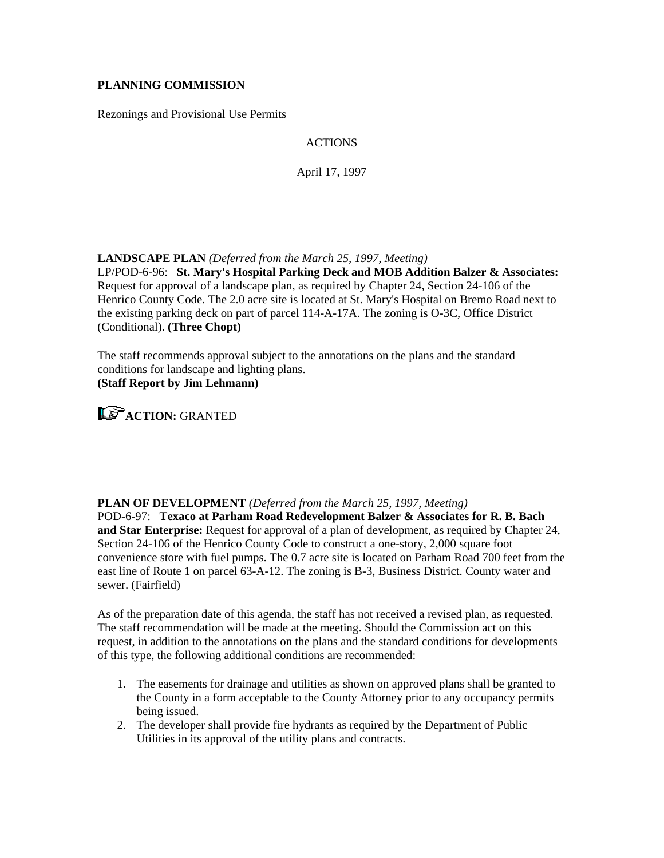### **PLANNING COMMISSION**

Rezonings and Provisional Use Permits

# ACTIONS

April 17, 1997

### **LANDSCAPE PLAN** *(Deferred from the March 25, 1997, Meeting)*

LP/POD-6-96: **St. Mary's Hospital Parking Deck and MOB Addition Balzer & Associates:** Request for approval of a landscape plan, as required by Chapter 24, Section 24-106 of the Henrico County Code. The 2.0 acre site is located at St. Mary's Hospital on Bremo Road next to the existing parking deck on part of parcel 114-A-17A. The zoning is O-3C, Office District (Conditional). **(Three Chopt)**

The staff recommends approval subject to the annotations on the plans and the standard conditions for landscape and lighting plans. **(Staff Report by Jim Lehmann)**



### **PLAN OF DEVELOPMENT** *(Deferred from the March 25, 1997, Meeting)*

POD-6-97: **Texaco at Parham Road Redevelopment Balzer & Associates for R. B. Bach and Star Enterprise:** Request for approval of a plan of development, as required by Chapter 24, Section 24-106 of the Henrico County Code to construct a one-story, 2,000 square foot convenience store with fuel pumps. The 0.7 acre site is located on Parham Road 700 feet from the east line of Route 1 on parcel 63-A-12. The zoning is B-3, Business District. County water and sewer. (Fairfield)

As of the preparation date of this agenda, the staff has not received a revised plan, as requested. The staff recommendation will be made at the meeting. Should the Commission act on this request, in addition to the annotations on the plans and the standard conditions for developments of this type, the following additional conditions are recommended:

- 1. The easements for drainage and utilities as shown on approved plans shall be granted to the County in a form acceptable to the County Attorney prior to any occupancy permits being issued.
- 2. The developer shall provide fire hydrants as required by the Department of Public Utilities in its approval of the utility plans and contracts.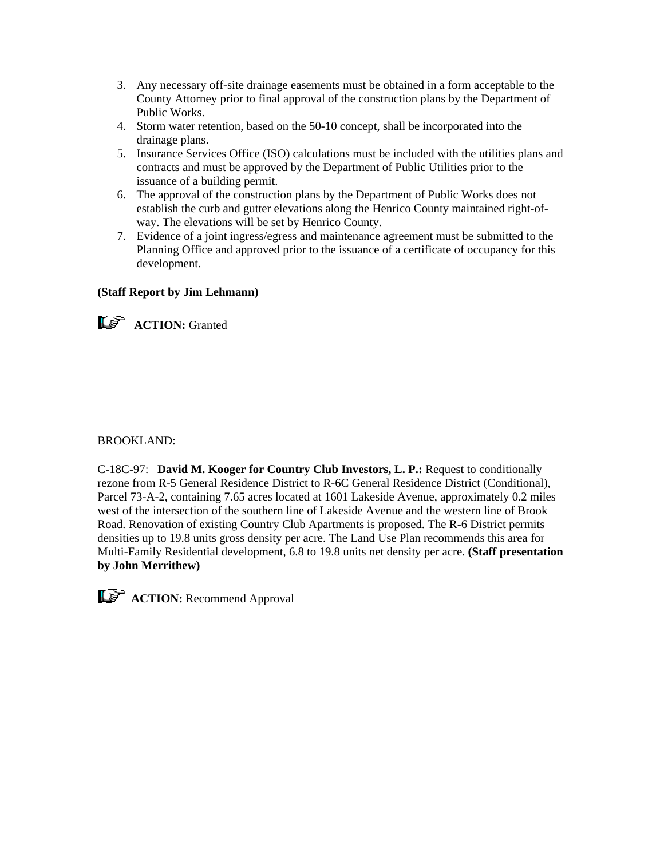- 3. Any necessary off-site drainage easements must be obtained in a form acceptable to the County Attorney prior to final approval of the construction plans by the Department of Public Works.
- 4. Storm water retention, based on the 50-10 concept, shall be incorporated into the drainage plans.
- 5. Insurance Services Office (ISO) calculations must be included with the utilities plans and contracts and must be approved by the Department of Public Utilities prior to the issuance of a building permit.
- 6. The approval of the construction plans by the Department of Public Works does not establish the curb and gutter elevations along the Henrico County maintained right-ofway. The elevations will be set by Henrico County.
- 7. Evidence of a joint ingress/egress and maintenance agreement must be submitted to the Planning Office and approved prior to the issuance of a certificate of occupancy for this development.

## **(Staff Report by Jim Lehmann)**



**ACTION:** Granted

### BROOKLAND:

C-18C-97: **David M. Kooger for Country Club Investors, L. P.:** Request to conditionally rezone from R-5 General Residence District to R-6C General Residence District (Conditional), Parcel 73-A-2, containing 7.65 acres located at 1601 Lakeside Avenue, approximately 0.2 miles west of the intersection of the southern line of Lakeside Avenue and the western line of Brook Road. Renovation of existing Country Club Apartments is proposed. The R-6 District permits densities up to 19.8 units gross density per acre. The Land Use Plan recommends this area for Multi-Family Residential development, 6.8 to 19.8 units net density per acre. **(Staff presentation by John Merrithew)**

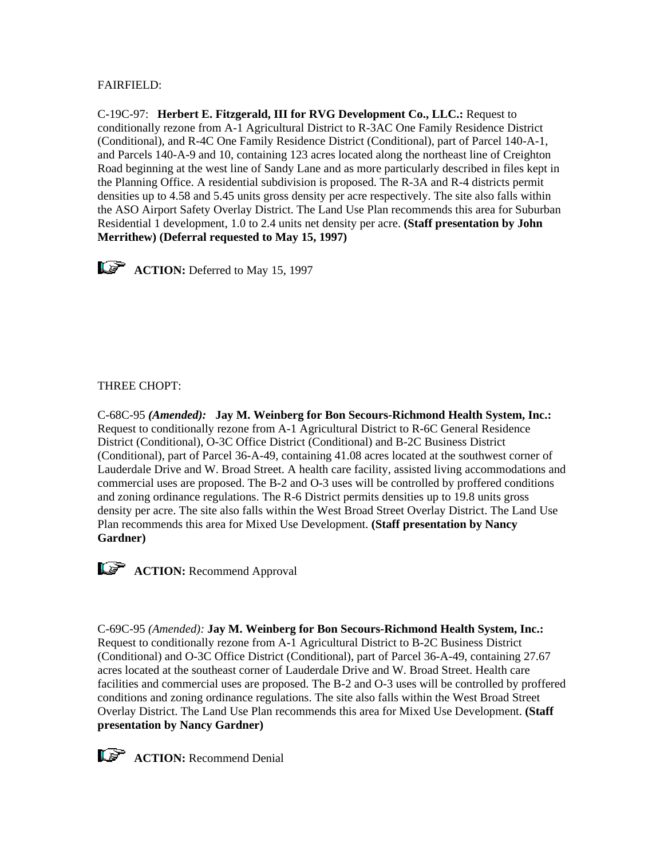# FAIRFIELD:

C-19C-97: **Herbert E. Fitzgerald, III for RVG Development Co., LLC.:** Request to conditionally rezone from A-1 Agricultural District to R-3AC One Family Residence District (Conditional), and R-4C One Family Residence District (Conditional), part of Parcel 140-A-1, and Parcels 140-A-9 and 10, containing 123 acres located along the northeast line of Creighton Road beginning at the west line of Sandy Lane and as more particularly described in files kept in the Planning Office. A residential subdivision is proposed. The R-3A and R-4 districts permit densities up to 4.58 and 5.45 units gross density per acre respectively. The site also falls within the ASO Airport Safety Overlay District. The Land Use Plan recommends this area for Suburban Residential 1 development, 1.0 to 2.4 units net density per acre. **(Staff presentation by John Merrithew) (Deferral requested to May 15, 1997)**



## THREE CHOPT:

C-68C-95 *(Amended):* **Jay M. Weinberg for Bon Secours-Richmond Health System, Inc.:** Request to conditionally rezone from A-1 Agricultural District to R-6C General Residence District (Conditional), O-3C Office District (Conditional) and B-2C Business District (Conditional), part of Parcel 36-A-49, containing 41.08 acres located at the southwest corner of Lauderdale Drive and W. Broad Street. A health care facility, assisted living accommodations and commercial uses are proposed. The B-2 and O-3 uses will be controlled by proffered conditions and zoning ordinance regulations. The R-6 District permits densities up to 19.8 units gross density per acre. The site also falls within the West Broad Street Overlay District. The Land Use Plan recommends this area for Mixed Use Development. **(Staff presentation by Nancy Gardner)**



**ACTION:** Recommend Approval

C-69C-95 *(Amended):* **Jay M. Weinberg for Bon Secours-Richmond Health System, Inc.:** Request to conditionally rezone from A-1 Agricultural District to B-2C Business District (Conditional) and O-3C Office District (Conditional), part of Parcel 36-A-49, containing 27.67 acres located at the southeast corner of Lauderdale Drive and W. Broad Street. Health care facilities and commercial uses are proposed. The B-2 and O-3 uses will be controlled by proffered conditions and zoning ordinance regulations. The site also falls within the West Broad Street Overlay District. The Land Use Plan recommends this area for Mixed Use Development. **(Staff presentation by Nancy Gardner)**

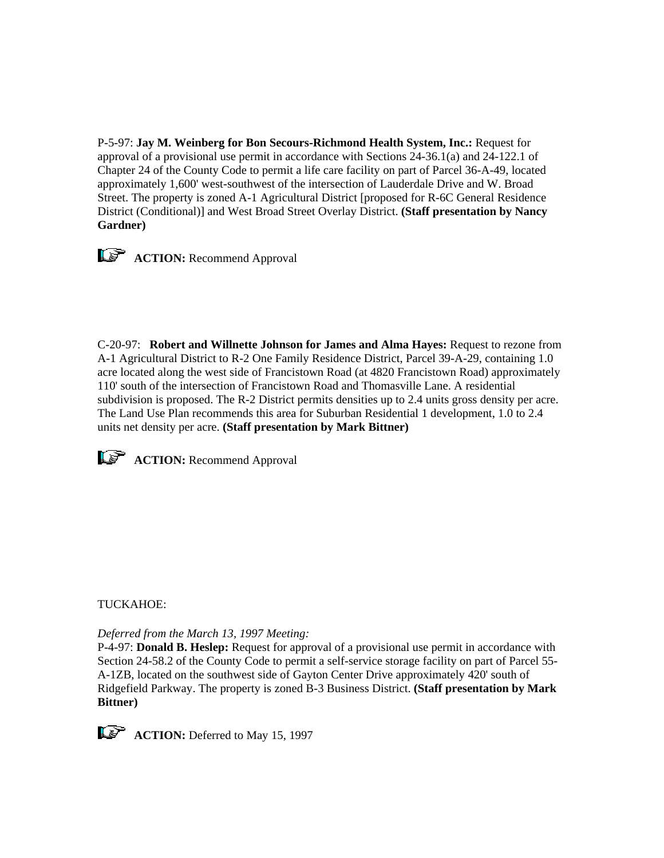P-5-97: **Jay M. Weinberg for Bon Secours-Richmond Health System, Inc.:** Request for approval of a provisional use permit in accordance with Sections 24-36.1(a) and 24-122.1 of Chapter 24 of the County Code to permit a life care facility on part of Parcel 36-A-49, located approximately 1,600' west-southwest of the intersection of Lauderdale Drive and W. Broad Street. The property is zoned A-1 Agricultural District [proposed for R-6C General Residence District (Conditional)] and West Broad Street Overlay District. **(Staff presentation by Nancy Gardner)**



*ACTION: Recommend Approval* 

C-20-97: **Robert and Willnette Johnson for James and Alma Hayes:** Request to rezone from A-1 Agricultural District to R-2 One Family Residence District, Parcel 39-A-29, containing 1.0 acre located along the west side of Francistown Road (at 4820 Francistown Road) approximately 110' south of the intersection of Francistown Road and Thomasville Lane. A residential subdivision is proposed. The R-2 District permits densities up to 2.4 units gross density per acre. The Land Use Plan recommends this area for Suburban Residential 1 development, 1.0 to 2.4 units net density per acre. **(Staff presentation by Mark Bittner)**



**ACTION:** Recommend Approval

TUCKAHOE:

*Deferred from the March 13, 1997 Meeting:*

P-4-97: **Donald B. Heslep:** Request for approval of a provisional use permit in accordance with Section 24-58.2 of the County Code to permit a self-service storage facility on part of Parcel 55- A-1ZB, located on the southwest side of Gayton Center Drive approximately 420' south of Ridgefield Parkway. The property is zoned B-3 Business District. **(Staff presentation by Mark Bittner)**



**ACTION:** Deferred to May 15, 1997